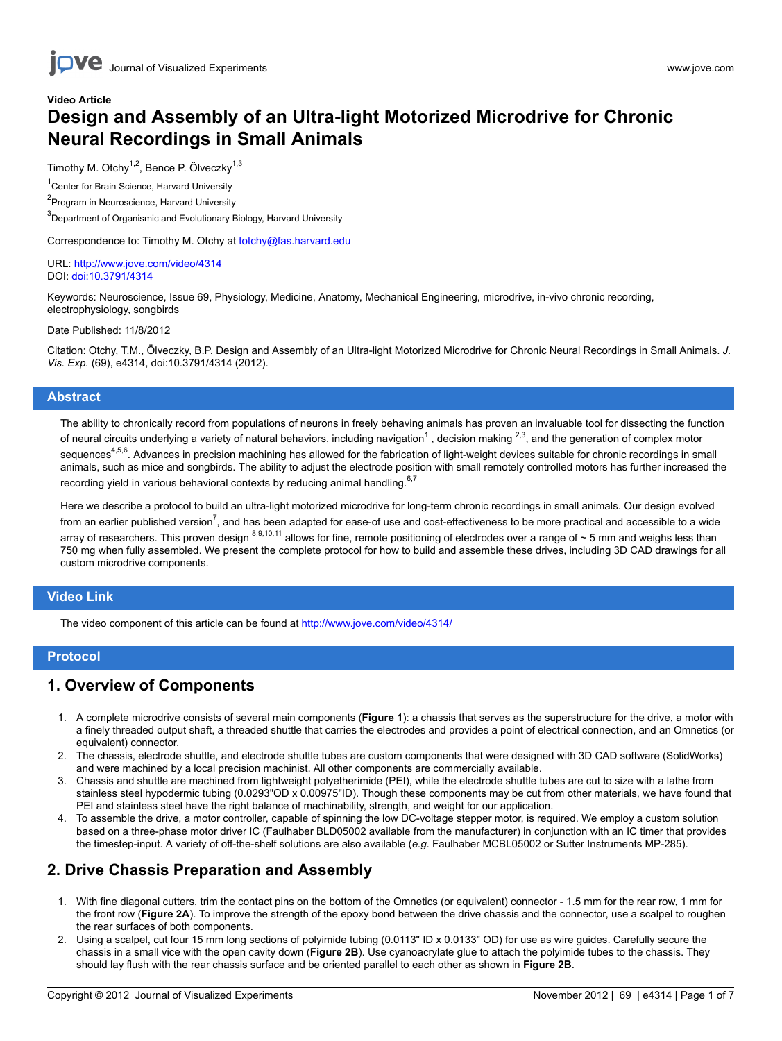## Video Article Design and Assembly of an Ultra-light Motorized Microdrive for Chronic Neural Recordings in Small Animals

Timothy M. Otchy<sup>1,2</sup>, Bence P. Ölveczky<sup>1,3</sup>

<sup>1</sup> Center for Brain Science, Harvard University

<sup>2</sup> Program in Neuroscience, Harvard University

<sup>3</sup>Department of Organismic and Evolutionary Biology, Harvard University

Correspondence to: Timothy M. Otchy at [totchy@fas.harvard.edu](mailto:totchy@fas.harvard.edu)

#### URL:<http://www.jove.com/video/4314> DOI: [doi:10.3791/4314](http://dx.doi.org/10.3791/4314)

Keywords: Neuroscience, Issue 69, Physiology, Medicine, Anatomy, Mechanical Engineering, microdrive, in-vivo chronic recording, electrophysiology, songbirds

Date Published: 11/8/2012

Citation: Otchy, T.M., Ӧlveczky, B.P. Design and Assembly of an Ultra-light Motorized Microdrive for Chronic Neural Recordings in Small Animals. J. Vis. Exp. (69), e4314, doi:10.3791/4314 (2012).

### **Abstract**

The ability to chronically record from populations of neurons in freely behaving animals has proven an invaluable tool for dissecting the function of neural circuits underlying a variety of natural behaviors, including navigation<sup>1</sup>, decision making <sup>2,3</sup>, and the generation of complex motor sequences<sup>4,5,6</sup>. Advances in precision machining has allowed for the fabrication of light-weight devices suitable for chronic recordings in small animals, such as mice and songbirds. The ability to adjust the electrode position with small remotely controlled motors has further increased the recording yield in various behavioral contexts by reducing animal handling. $6,7$ 

Here we describe a protocol to build an ultra-light motorized microdrive for long-term chronic recordings in small animals. Our design evolved from an earlier published version<sup>7</sup>, and has been adapted for ease-of use and cost-effectiveness to be more practical and accessible to a wide arrav of researchers. This proven design <sup>8,9,10,11</sup> allows for fine, remote positioning of electrodes over a range of ~ 5 mm and weighs less than 750 mg when fully assembled. We present the complete protocol for how to build and assemble these drives, including 3D CAD drawings for all custom microdrive components.

### Video Link

The video component of this article can be found at <http://www.jove.com/video/4314/>

### Protocol

### 1. Overview of Components

- 1. A complete microdrive consists of several main components (Figure 1): a chassis that serves as the superstructure for the drive, a motor with a finely threaded output shaft, a threaded shuttle that carries the electrodes and provides a point of electrical connection, and an Omnetics (or equivalent) connector.
- 2. The chassis, electrode shuttle, and electrode shuttle tubes are custom components that were designed with 3D CAD software (SolidWorks) and were machined by a local precision machinist. All other components are commercially available.
- 3. Chassis and shuttle are machined from lightweight polyetherimide (PEI), while the electrode shuttle tubes are cut to size with a lathe from stainless steel hypodermic tubing (0.0293"OD x 0.00975"ID). Though these components may be cut from other materials, we have found that PEI and stainless steel have the right balance of machinability, strength, and weight for our application.
- 4. To assemble the drive, a motor controller, capable of spinning the low DC-voltage stepper motor, is required. We employ a custom solution based on a three-phase motor driver IC (Faulhaber BLD05002 available from the manufacturer) in conjunction with an IC timer that provides the timestep-input. A variety of off-the-shelf solutions are also available (e.g. Faulhaber MCBL05002 or Sutter Instruments MP-285).

### 2. Drive Chassis Preparation and Assembly

- 1. With fine diagonal cutters, trim the contact pins on the bottom of the Omnetics (or equivalent) connector 1.5 mm for the rear row, 1 mm for the front row (Figure 2A). To improve the strength of the epoxy bond between the drive chassis and the connector, use a scalpel to roughen the rear surfaces of both components.
- 2. Using a scalpel, cut four 15 mm long sections of polyimide tubing (0.0113" ID x 0.0133" OD) for use as wire guides. Carefully secure the chassis in a small vice with the open cavity down (Figure 2B). Use cyanoacrylate glue to attach the polyimide tubes to the chassis. They should lay flush with the rear chassis surface and be oriented parallel to each other as shown in Figure 2B.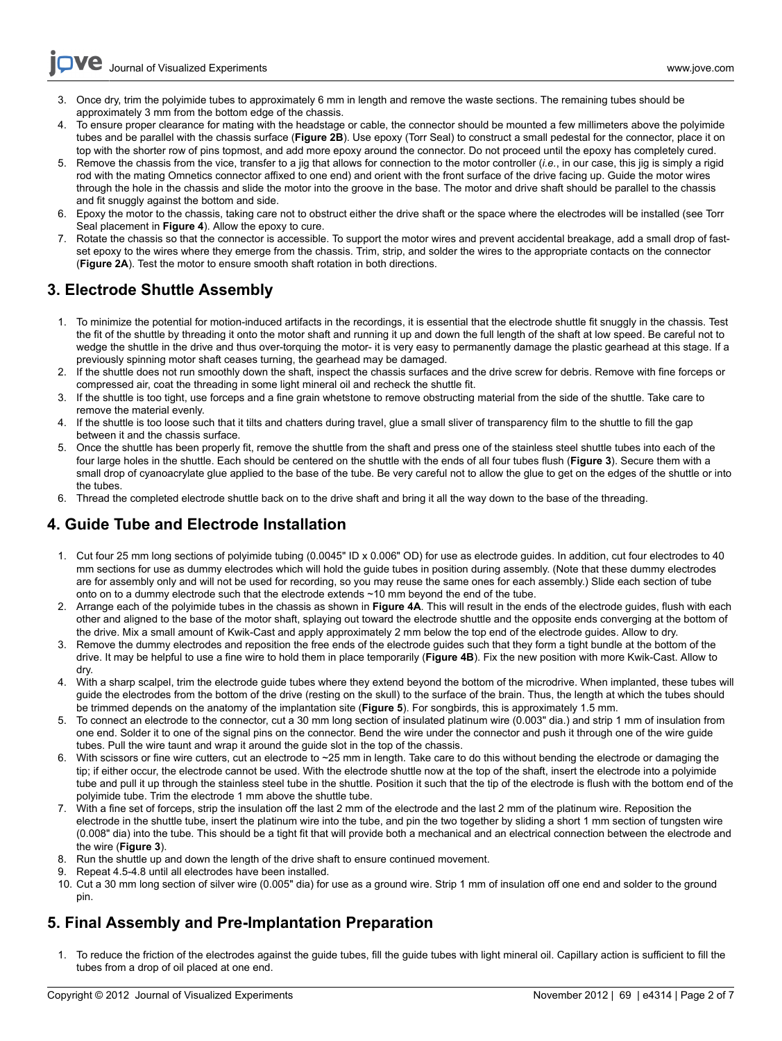**Ove** [Journal of Visualized Experiments](http://www.jove.com) [www.jove.com](http://www.jove.com)

- 3. Once dry, trim the polyimide tubes to approximately 6 mm in length and remove the waste sections. The remaining tubes should be approximately 3 mm from the bottom edge of the chassis.
- 4. To ensure proper clearance for mating with the headstage or cable, the connector should be mounted a few millimeters above the polyimide tubes and be parallel with the chassis surface (Figure 2B). Use epoxy (Torr Seal) to construct a small pedestal for the connector, place it on top with the shorter row of pins topmost, and add more epoxy around the connector. Do not proceed until the epoxy has completely cured.
- 5. Remove the chassis from the vice, transfer to a jig that allows for connection to the motor controller (i.e., in our case, this jig is simply a rigid rod with the mating Omnetics connector affixed to one end) and orient with the front surface of the drive facing up. Guide the motor wires through the hole in the chassis and slide the motor into the groove in the base. The motor and drive shaft should be parallel to the chassis and fit snuggly against the bottom and side.
- 6. Epoxy the motor to the chassis, taking care not to obstruct either the drive shaft or the space where the electrodes will be installed (see Torr Seal placement in Figure 4). Allow the epoxy to cure.
- 7. Rotate the chassis so that the connector is accessible. To support the motor wires and prevent accidental breakage, add a small drop of fastset epoxy to the wires where they emerge from the chassis. Trim, strip, and solder the wires to the appropriate contacts on the connector (Figure 2A). Test the motor to ensure smooth shaft rotation in both directions.

### 3. Electrode Shuttle Assembly

- 1. To minimize the potential for motion-induced artifacts in the recordings, it is essential that the electrode shuttle fit snuggly in the chassis. Test the fit of the shuttle by threading it onto the motor shaft and running it up and down the full length of the shaft at low speed. Be careful not to wedge the shuttle in the drive and thus over-torquing the motor- it is very easy to permanently damage the plastic gearhead at this stage. If a previously spinning motor shaft ceases turning, the gearhead may be damaged.
- 2. If the shuttle does not run smoothly down the shaft, inspect the chassis surfaces and the drive screw for debris. Remove with fine forceps or compressed air, coat the threading in some light mineral oil and recheck the shuttle fit.
- 3. If the shuttle is too tight, use forceps and a fine grain whetstone to remove obstructing material from the side of the shuttle. Take care to remove the material evenly.
- 4. If the shuttle is too loose such that it tilts and chatters during travel, glue a small sliver of transparency film to the shuttle to fill the gap between it and the chassis surface.
- 5. Once the shuttle has been properly fit, remove the shuttle from the shaft and press one of the stainless steel shuttle tubes into each of the four large holes in the shuttle. Each should be centered on the shuttle with the ends of all four tubes flush (Figure 3). Secure them with a small drop of cyanoacrylate glue applied to the base of the tube. Be very careful not to allow the glue to get on the edges of the shuttle or into the tubes.
- 6. Thread the completed electrode shuttle back on to the drive shaft and bring it all the way down to the base of the threading.

# 4. Guide Tube and Electrode Installation

- 1. Cut four 25 mm long sections of polyimide tubing (0.0045" ID x 0.006" OD) for use as electrode guides. In addition, cut four electrodes to 40 mm sections for use as dummy electrodes which will hold the guide tubes in position during assembly. (Note that these dummy electrodes are for assembly only and will not be used for recording, so you may reuse the same ones for each assembly.) Slide each section of tube onto on to a dummy electrode such that the electrode extends ~10 mm beyond the end of the tube.
- 2. Arrange each of the polyimide tubes in the chassis as shown in Figure 4A. This will result in the ends of the electrode guides, flush with each other and aligned to the base of the motor shaft, splaying out toward the electrode shuttle and the opposite ends converging at the bottom of the drive. Mix a small amount of Kwik-Cast and apply approximately 2 mm below the top end of the electrode guides. Allow to dry.
- 3. Remove the dummy electrodes and reposition the free ends of the electrode guides such that they form a tight bundle at the bottom of the drive. It may be helpful to use a fine wire to hold them in place temporarily (Figure 4B). Fix the new position with more Kwik-Cast. Allow to dry.
- 4. With a sharp scalpel, trim the electrode guide tubes where they extend beyond the bottom of the microdrive. When implanted, these tubes will guide the electrodes from the bottom of the drive (resting on the skull) to the surface of the brain. Thus, the length at which the tubes should be trimmed depends on the anatomy of the implantation site (Figure 5). For songbirds, this is approximately 1.5 mm.
- 5. To connect an electrode to the connector, cut a 30 mm long section of insulated platinum wire (0.003" dia.) and strip 1 mm of insulation from one end. Solder it to one of the signal pins on the connector. Bend the wire under the connector and push it through one of the wire guide tubes. Pull the wire taunt and wrap it around the guide slot in the top of the chassis.
- 6. With scissors or fine wire cutters, cut an electrode to ~25 mm in length. Take care to do this without bending the electrode or damaging the tip; if either occur, the electrode cannot be used. With the electrode shuttle now at the top of the shaft, insert the electrode into a polyimide tube and pull it up through the stainless steel tube in the shuttle. Position it such that the tip of the electrode is flush with the bottom end of the polyimide tube. Trim the electrode 1 mm above the shuttle tube.
- 7. With a fine set of forceps, strip the insulation off the last 2 mm of the electrode and the last 2 mm of the platinum wire. Reposition the electrode in the shuttle tube, insert the platinum wire into the tube, and pin the two together by sliding a short 1 mm section of tungsten wire (0.008" dia) into the tube. This should be a tight fit that will provide both a mechanical and an electrical connection between the electrode and the wire (Figure 3).
- 8. Run the shuttle up and down the length of the drive shaft to ensure continued movement.
- 9. Repeat 4.5-4.8 until all electrodes have been installed.
- 10. Cut a 30 mm long section of silver wire (0.005" dia) for use as a ground wire. Strip 1 mm of insulation off one end and solder to the ground pin.

# 5. Final Assembly and Pre-Implantation Preparation

1. To reduce the friction of the electrodes against the guide tubes, fill the guide tubes with light mineral oil. Capillary action is sufficient to fill the tubes from a drop of oil placed at one end.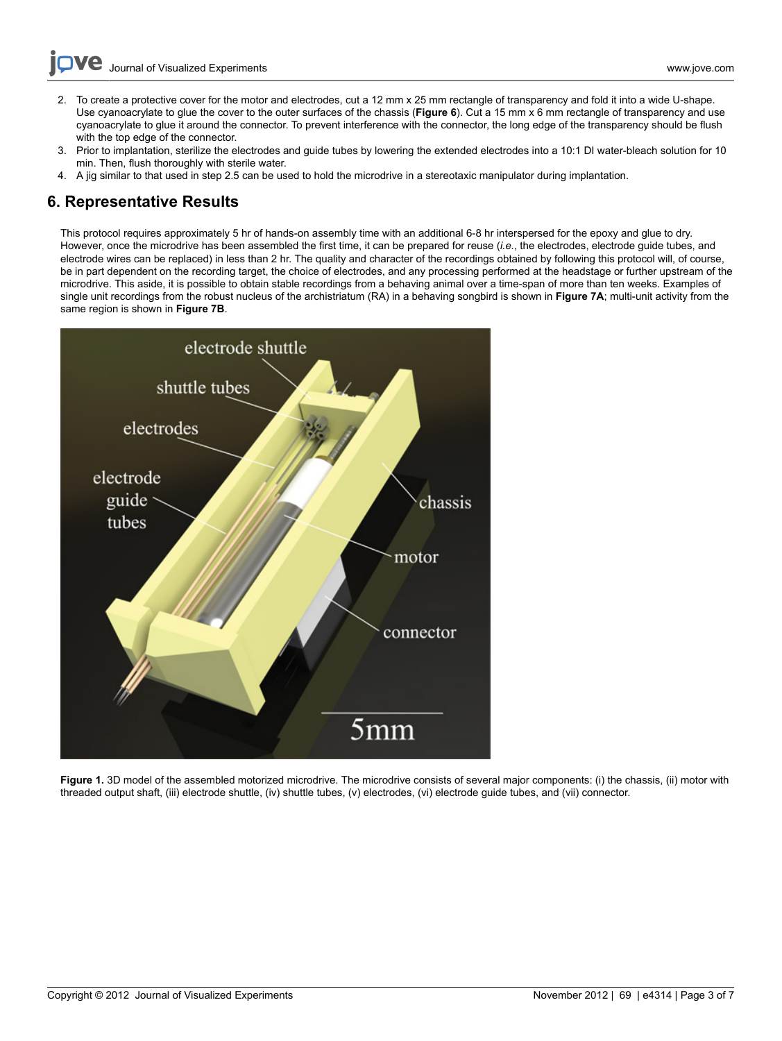- [Journal of Visualized Experiments](http://www.jove.com) [www.jove.com](http://www.jove.com)
- 2. To create a protective cover for the motor and electrodes, cut a 12 mm x 25 mm rectangle of transparency and fold it into a wide U-shape. Use cyanoacrylate to glue the cover to the outer surfaces of the chassis (Figure 6). Cut a 15 mm x 6 mm rectangle of transparency and use cyanoacrylate to glue it around the connector. To prevent interference with the connector, the long edge of the transparency should be flush with the top edge of the connector.
- 3. Prior to implantation, sterilize the electrodes and guide tubes by lowering the extended electrodes into a 10:1 DI water-bleach solution for 10 min. Then, flush thoroughly with sterile water.
- 4. A jig similar to that used in step 2.5 can be used to hold the microdrive in a stereotaxic manipulator during implantation.

## 6. Representative Results

This protocol requires approximately 5 hr of hands-on assembly time with an additional 6-8 hr interspersed for the epoxy and glue to dry. However, once the microdrive has been assembled the first time, it can be prepared for reuse (i.e., the electrodes, electrode guide tubes, and electrode wires can be replaced) in less than 2 hr. The quality and character of the recordings obtained by following this protocol will, of course, be in part dependent on the recording target, the choice of electrodes, and any processing performed at the headstage or further upstream of the microdrive. This aside, it is possible to obtain stable recordings from a behaving animal over a time-span of more than ten weeks. Examples of single unit recordings from the robust nucleus of the archistriatum (RA) in a behaving songbird is shown in Figure 7A; multi-unit activity from the same region is shown in Figure 7B.



Figure 1. 3D model of the assembled motorized microdrive. The microdrive consists of several major components: (i) the chassis, (ii) motor with threaded output shaft, (iii) electrode shuttle, (iv) shuttle tubes, (v) electrodes, (vi) electrode guide tubes, and (vii) connector.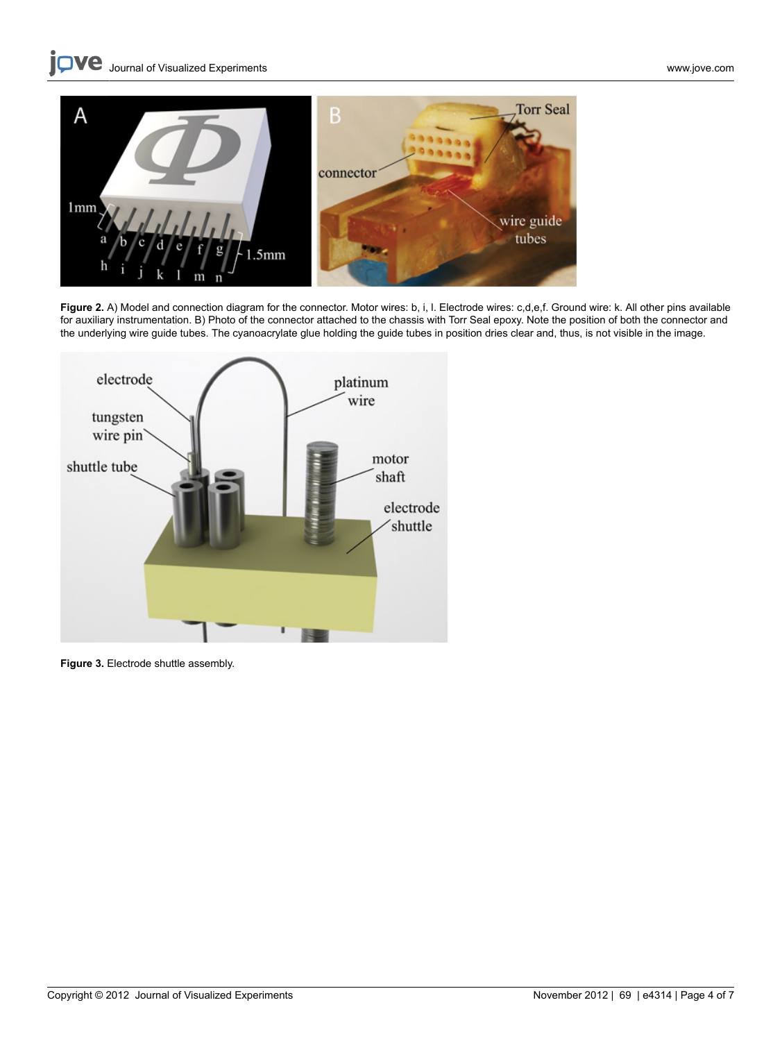

Figure 2. A) Model and connection diagram for the connector. Motor wires: b, i, l. Electrode wires: c,d,e,f. Ground wire: k. All other pins available for auxiliary instrumentation. B) Photo of the connector attached to the chassis with Torr Seal epoxy. Note the position of both the connector and the underlying wire guide tubes. The cyanoacrylate glue holding the guide tubes in position dries clear and, thus, is not visible in the image.



Figure 3. Electrode shuttle assembly.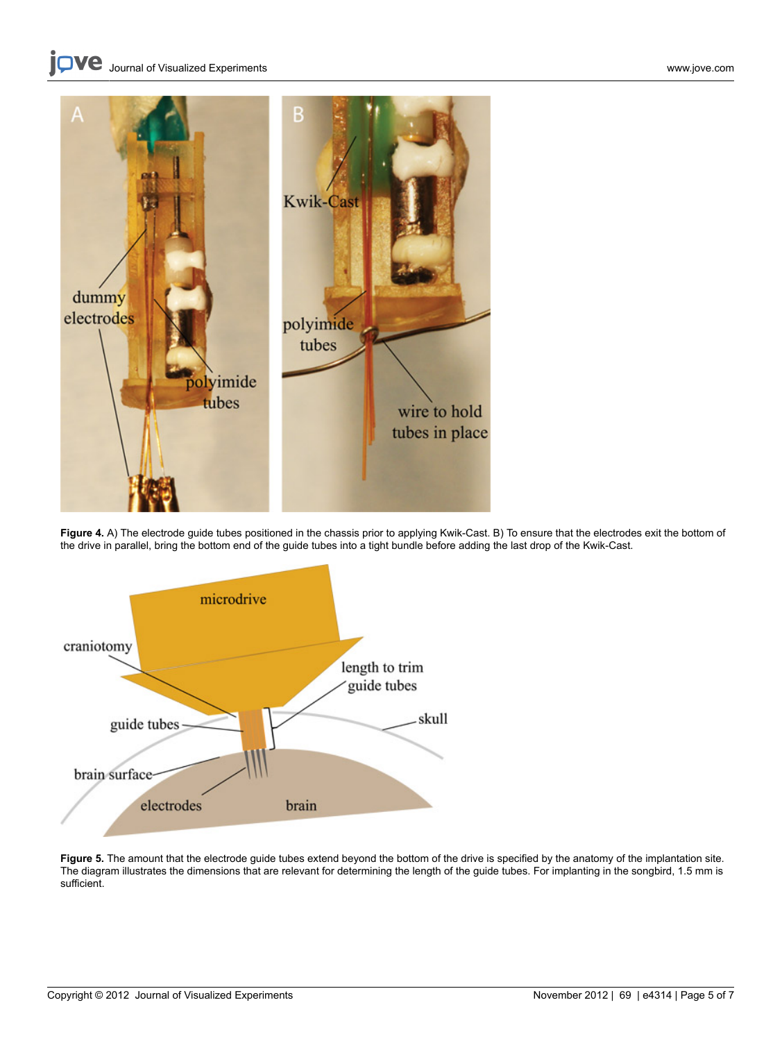

Figure 4. A) The electrode guide tubes positioned in the chassis prior to applying Kwik-Cast. B) To ensure that the electrodes exit the bottom of the drive in parallel, bring the bottom end of the guide tubes into a tight bundle before adding the last drop of the Kwik-Cast.



Figure 5. The amount that the electrode guide tubes extend beyond the bottom of the drive is specified by the anatomy of the implantation site. The diagram illustrates the dimensions that are relevant for determining the length of the guide tubes. For implanting in the songbird, 1.5 mm is sufficient.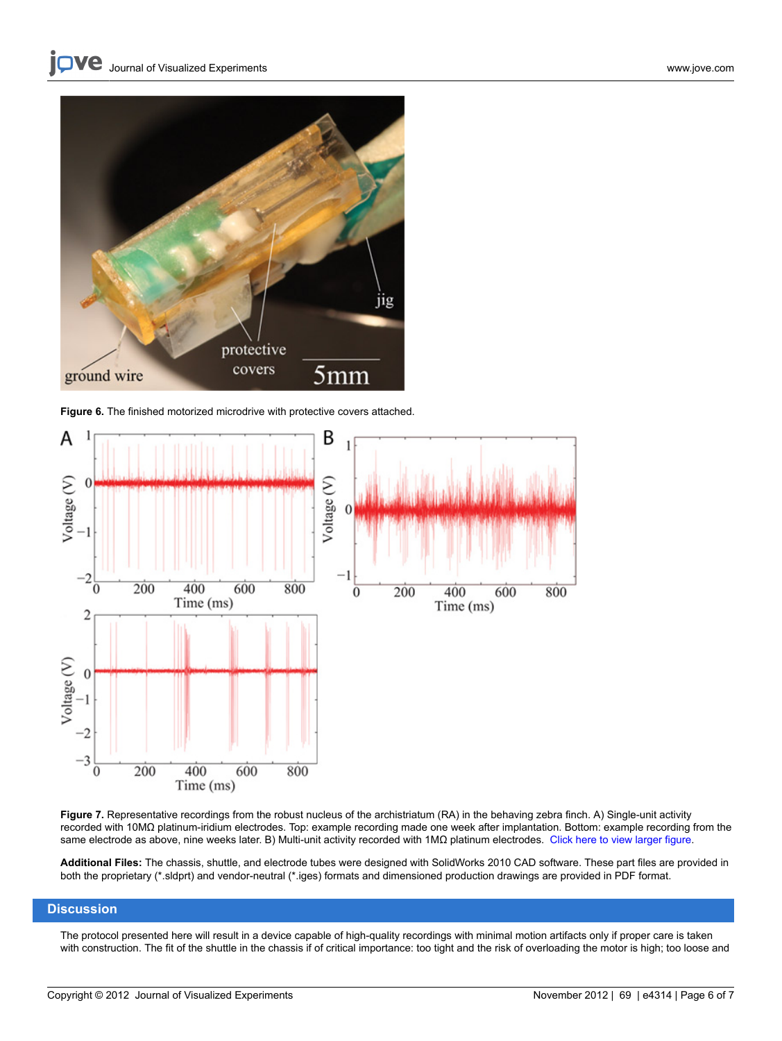

Figure 6. The finished motorized microdrive with protective covers attached.



Figure 7. Representative recordings from the robust nucleus of the archistriatum (RA) in the behaving zebra finch. A) Single-unit activity recorded with 10MΩ platinum-iridium electrodes. Top: example recording made one week after implantation. Bottom: example recording from the same electrode as above, nine weeks later. B) Multi-unit activity recorded with 1MΩ platinum electrodes. [Click here to view larger figure](http://www.jove.com/files/ftp_upload/4314/4314fig7large.jpg).

Additional Files: The chassis, shuttle, and electrode tubes were designed with SolidWorks 2010 CAD software. These part files are provided in both the proprietary (\*.sldprt) and vendor-neutral (\*.iges) formats and dimensioned production drawings are provided in PDF format.

### **Discussion**

The protocol presented here will result in a device capable of high-quality recordings with minimal motion artifacts only if proper care is taken with construction. The fit of the shuttle in the chassis if of critical importance: too tight and the risk of overloading the motor is high; too loose and